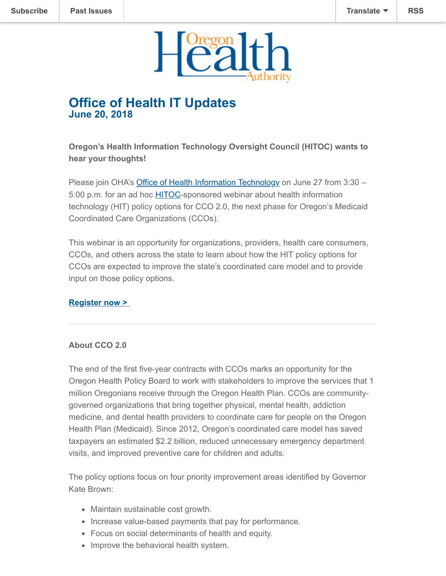

## **Office of Health IT Updates June 20, 2018**

**Oregon's Health Information Technology Oversight Council (HITOC) wants to hear your thoughts!**

Please join OHA's **[Office of Health Information Technology](https://www.oregon.gov/oha/HPA/OHIT/Pages/index.aspx)** on June 27 from 3:30 -5:00 p.m. for an ad hoc [HITOC](https://www.oregon.gov/oha/HPA/OHIT-HITOC/Pages/index.aspx)-sponsored webinar about health information technology (HIT) policy options for CCO 2.0, the next phase for Oregon's Medicaid Coordinated Care Organizations (CCOs).

This webinar is an opportunity for organizations, providers, health care consumers, CCOs, and others across the state to learn about how the HIT policy options for CCOs are expected to improve the state's coordinated care model and to provide input on those policy options.

## **[Register now >](https://attendee.gotowebinar.com/register/5219530522658212099)**

## **About CCO 2.0**

The end of the first five-year contracts with CCOs marks an opportunity for the Oregon Health Policy Board to work with stakeholders to improve the services that 1 million Oregonians receive through the Oregon Health Plan. CCOs are communitygoverned organizations that bring together physical, mental health, addiction medicine, and dental health providers to coordinate care for people on the Oregon Health Plan (Medicaid). Since 2012, Oregon's coordinated care model has saved taxpayers an estimated \$2.2 billion, reduced unnecessary emergency department visits, and improved preventive care for children and adults.

The policy options focus on four priority improvement areas identified by Governor Kate Brown:

- Maintain sustainable cost growth.
- Increase value-based payments that pay for performance.
- Focus on social determinants of health and equity.
- Improve the behavioral health system.